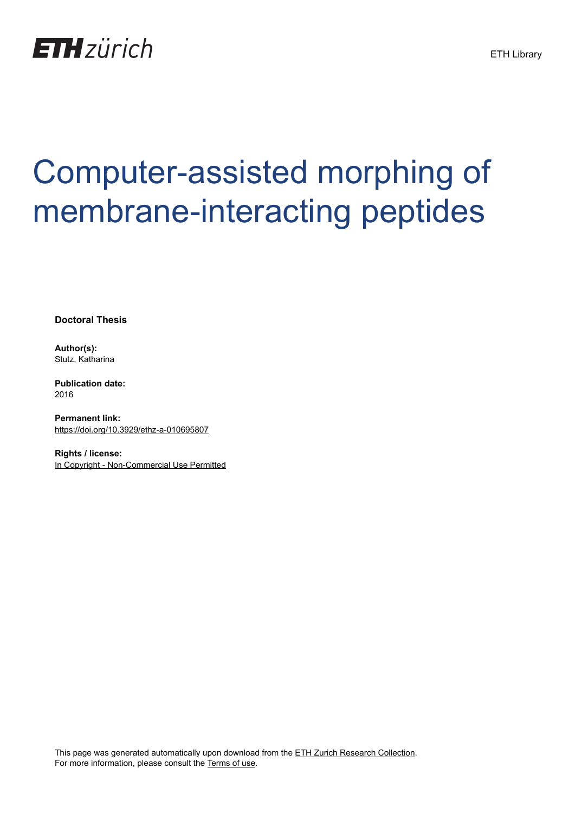

# Computer-assisted morphing of membrane-interacting peptides

**Doctoral Thesis**

**Author(s):** Stutz, Katharina

**Publication date:** 2016

**Permanent link:** <https://doi.org/10.3929/ethz-a-010695807>

**Rights / license:** [In Copyright - Non-Commercial Use Permitted](http://rightsstatements.org/page/InC-NC/1.0/)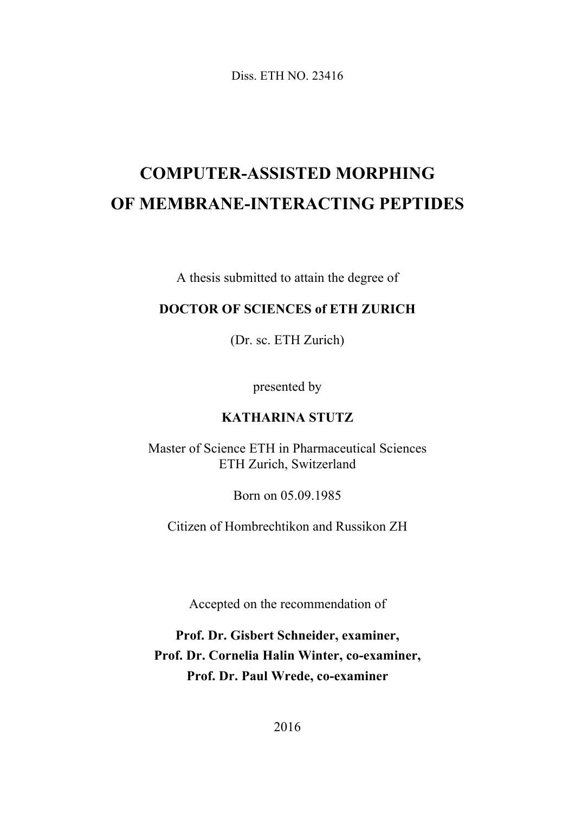Diss. ETH NO. 23416

# **COMPUTER-ASSISTED MORPHING OF MEMBRANE-INTERACTING PEPTIDES**

A thesis submitted to attain the degree of

#### **DOCTOR OF SCIENCES of ETH ZURICH**

(Dr. sc. ETH Zurich)

presented by

#### **KATHARINA STUTZ**

Master of Science ETH in Pharmaceutical Sciences ETH Zurich, Switzerland

Born on 05.09.1985

Citizen of Hombrechtikon and Russikon ZH

Accepted on the recommendation of

**Prof. Dr. Gisbert Schneider, examiner, Prof. Dr. Cornelia Halin Winter, co-examiner, Prof. Dr. Paul Wrede, co-examiner**

2016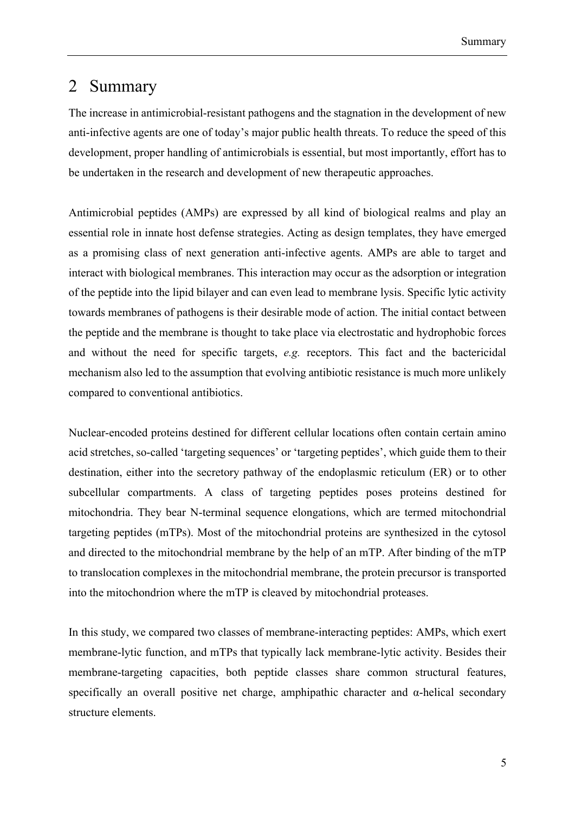### 2 Summary

The increase in antimicrobial-resistant pathogens and the stagnation in the development of new anti-infective agents are one of today's major public health threats. To reduce the speed of this development, proper handling of antimicrobials is essential, but most importantly, effort has to be undertaken in the research and development of new therapeutic approaches.

Antimicrobial peptides (AMPs) are expressed by all kind of biological realms and play an essential role in innate host defense strategies. Acting as design templates, they have emerged as a promising class of next generation anti-infective agents. AMPs are able to target and interact with biological membranes. This interaction may occur as the adsorption or integration of the peptide into the lipid bilayer and can even lead to membrane lysis. Specific lytic activity towards membranes of pathogens is their desirable mode of action. The initial contact between the peptide and the membrane is thought to take place via electrostatic and hydrophobic forces and without the need for specific targets, *e.g.* receptors. This fact and the bactericidal mechanism also led to the assumption that evolving antibiotic resistance is much more unlikely compared to conventional antibiotics.

Nuclear-encoded proteins destined for different cellular locations often contain certain amino acid stretches, so-called 'targeting sequences' or 'targeting peptides', which guide them to their destination, either into the secretory pathway of the endoplasmic reticulum (ER) or to other subcellular compartments. A class of targeting peptides poses proteins destined for mitochondria. They bear N-terminal sequence elongations, which are termed mitochondrial targeting peptides (mTPs). Most of the mitochondrial proteins are synthesized in the cytosol and directed to the mitochondrial membrane by the help of an mTP. After binding of the mTP to translocation complexes in the mitochondrial membrane, the protein precursor is transported into the mitochondrion where the mTP is cleaved by mitochondrial proteases.

In this study, we compared two classes of membrane-interacting peptides: AMPs, which exert membrane-lytic function, and mTPs that typically lack membrane-lytic activity. Besides their membrane-targeting capacities, both peptide classes share common structural features, specifically an overall positive net charge, amphipathic character and  $\alpha$ -helical secondary structure elements.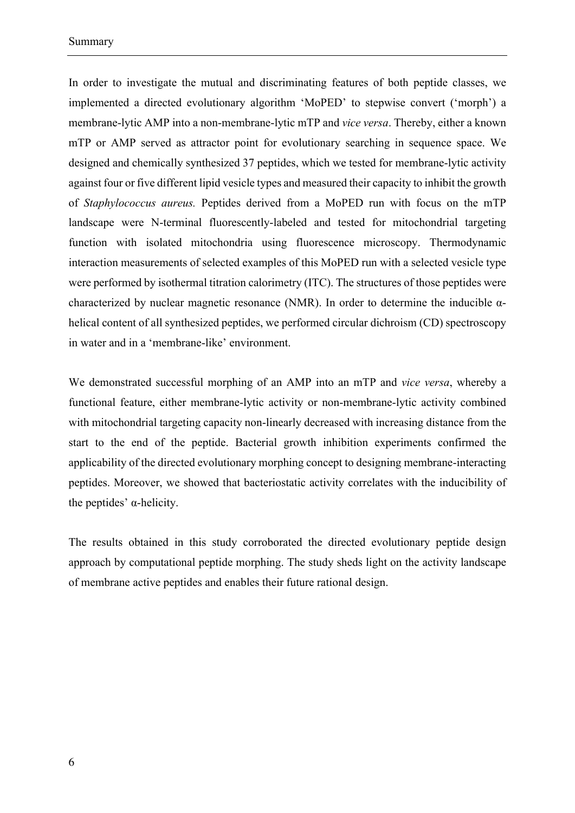In order to investigate the mutual and discriminating features of both peptide classes, we implemented a directed evolutionary algorithm 'MoPED' to stepwise convert ('morph') a membrane-lytic AMP into a non-membrane-lytic mTP and *vice versa*. Thereby, either a known mTP or AMP served as attractor point for evolutionary searching in sequence space. We designed and chemically synthesized 37 peptides, which we tested for membrane-lytic activity against four or five different lipid vesicle types and measured their capacity to inhibit the growth of *Staphylococcus aureus.* Peptides derived from a MoPED run with focus on the mTP landscape were N-terminal fluorescently-labeled and tested for mitochondrial targeting function with isolated mitochondria using fluorescence microscopy. Thermodynamic interaction measurements of selected examples of this MoPED run with a selected vesicle type were performed by isothermal titration calorimetry (ITC). The structures of those peptides were characterized by nuclear magnetic resonance (NMR). In order to determine the inducible  $\alpha$ helical content of all synthesized peptides, we performed circular dichroism (CD) spectroscopy in water and in a 'membrane-like' environment.

We demonstrated successful morphing of an AMP into an mTP and *vice versa*, whereby a functional feature, either membrane-lytic activity or non-membrane-lytic activity combined with mitochondrial targeting capacity non-linearly decreased with increasing distance from the start to the end of the peptide. Bacterial growth inhibition experiments confirmed the applicability of the directed evolutionary morphing concept to designing membrane-interacting peptides. Moreover, we showed that bacteriostatic activity correlates with the inducibility of the peptides'  $α$ -helicity.

The results obtained in this study corroborated the directed evolutionary peptide design approach by computational peptide morphing. The study sheds light on the activity landscape of membrane active peptides and enables their future rational design.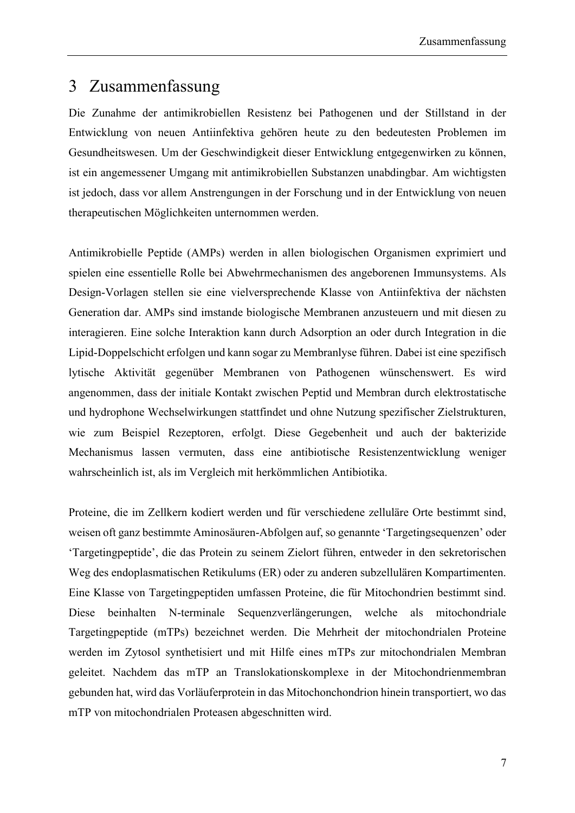## 3 Zusammenfassung

Die Zunahme der antimikrobiellen Resistenz bei Pathogenen und der Stillstand in der Entwicklung von neuen Antiinfektiva gehören heute zu den bedeutesten Problemen im Gesundheitswesen. Um der Geschwindigkeit dieser Entwicklung entgegenwirken zu können, ist ein angemessener Umgang mit antimikrobiellen Substanzen unabdingbar. Am wichtigsten ist jedoch, dass vor allem Anstrengungen in der Forschung und in der Entwicklung von neuen therapeutischen Möglichkeiten unternommen werden.

Antimikrobielle Peptide (AMPs) werden in allen biologischen Organismen exprimiert und spielen eine essentielle Rolle bei Abwehrmechanismen des angeborenen Immunsystems. Als Design-Vorlagen stellen sie eine vielversprechende Klasse von Antiinfektiva der nächsten Generation dar. AMPs sind imstande biologische Membranen anzusteuern und mit diesen zu interagieren. Eine solche Interaktion kann durch Adsorption an oder durch Integration in die Lipid-Doppelschicht erfolgen und kann sogar zu Membranlyse führen. Dabei ist eine spezifisch lytische Aktivität gegenüber Membranen von Pathogenen wünschenswert. Es wird angenommen, dass der initiale Kontakt zwischen Peptid und Membran durch elektrostatische und hydrophone Wechselwirkungen stattfindet und ohne Nutzung spezifischer Zielstrukturen, wie zum Beispiel Rezeptoren, erfolgt. Diese Gegebenheit und auch der bakterizide Mechanismus lassen vermuten, dass eine antibiotische Resistenzentwicklung weniger wahrscheinlich ist, als im Vergleich mit herkömmlichen Antibiotika.

Proteine, die im Zellkern kodiert werden und für verschiedene zelluläre Orte bestimmt sind, weisen oft ganz bestimmte Aminosäuren-Abfolgen auf, so genannte 'Targetingsequenzen' oder 'Targetingpeptide', die das Protein zu seinem Zielort führen, entweder in den sekretorischen Weg des endoplasmatischen Retikulums (ER) oder zu anderen subzellulären Kompartimenten. Eine Klasse von Targetingpeptiden umfassen Proteine, die für Mitochondrien bestimmt sind. Diese beinhalten N-terminale Sequenzverlängerungen, welche als mitochondriale Targetingpeptide (mTPs) bezeichnet werden. Die Mehrheit der mitochondrialen Proteine werden im Zytosol synthetisiert und mit Hilfe eines mTPs zur mitochondrialen Membran geleitet. Nachdem das mTP an Translokationskomplexe in der Mitochondrienmembran gebunden hat, wird das Vorläuferprotein in das Mitochonchondrion hinein transportiert, wo das mTP von mitochondrialen Proteasen abgeschnitten wird.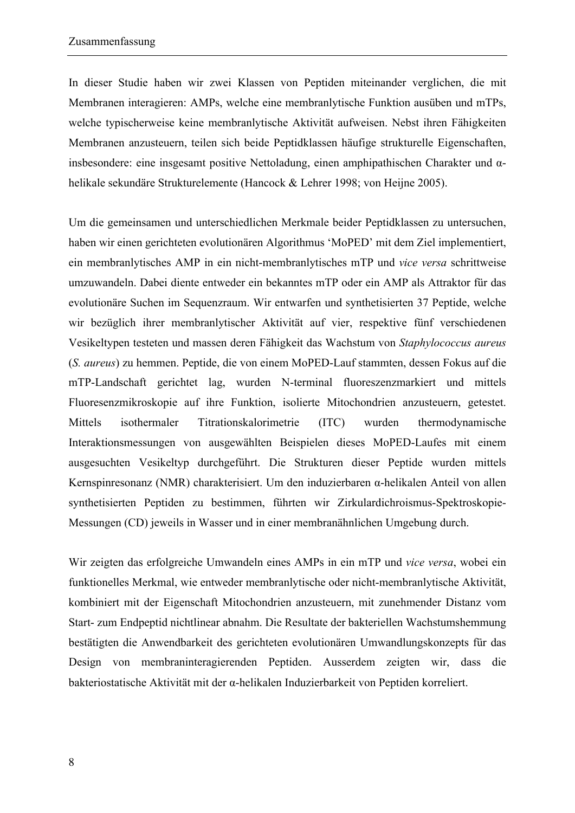In dieser Studie haben wir zwei Klassen von Peptiden miteinander verglichen, die mit Membranen interagieren: AMPs, welche eine membranlytische Funktion ausüben und mTPs, welche typischerweise keine membranlytische Aktivität aufweisen. Nebst ihren Fähigkeiten Membranen anzusteuern, teilen sich beide Peptidklassen häufige strukturelle Eigenschaften, insbesondere: eine insgesamt positive Nettoladung, einen amphipathischen Charakter und αhelikale sekundäre Strukturelemente (Hancock & Lehrer 1998; von Heijne 2005).

Um die gemeinsamen und unterschiedlichen Merkmale beider Peptidklassen zu untersuchen, haben wir einen gerichteten evolutionären Algorithmus 'MoPED' mit dem Ziel implementiert, ein membranlytisches AMP in ein nicht-membranlytisches mTP und *vice versa* schrittweise umzuwandeln. Dabei diente entweder ein bekanntes mTP oder ein AMP als Attraktor für das evolutionäre Suchen im Sequenzraum. Wir entwarfen und synthetisierten 37 Peptide, welche wir bezüglich ihrer membranlytischer Aktivität auf vier, respektive fünf verschiedenen Vesikeltypen testeten und massen deren Fähigkeit das Wachstum von *Staphylococcus aureus* (*S. aureus*) zu hemmen. Peptide, die von einem MoPED-Lauf stammten, dessen Fokus auf die mTP-Landschaft gerichtet lag, wurden N-terminal fluoreszenzmarkiert und mittels Fluoresenzmikroskopie auf ihre Funktion, isolierte Mitochondrien anzusteuern, getestet. Mittels isothermaler Titrationskalorimetrie (ITC) wurden thermodynamische Interaktionsmessungen von ausgewählten Beispielen dieses MoPED-Laufes mit einem ausgesuchten Vesikeltyp durchgeführt. Die Strukturen dieser Peptide wurden mittels Kernspinresonanz (NMR) charakterisiert. Um den induzierbaren α-helikalen Anteil von allen synthetisierten Peptiden zu bestimmen, führten wir Zirkulardichroismus-Spektroskopie-Messungen (CD) jeweils in Wasser und in einer membranähnlichen Umgebung durch.

Wir zeigten das erfolgreiche Umwandeln eines AMPs in ein mTP und *vice versa*, wobei ein funktionelles Merkmal, wie entweder membranlytische oder nicht-membranlytische Aktivität, kombiniert mit der Eigenschaft Mitochondrien anzusteuern, mit zunehmender Distanz vom Start- zum Endpeptid nichtlinear abnahm. Die Resultate der bakteriellen Wachstumshemmung bestätigten die Anwendbarkeit des gerichteten evolutionären Umwandlungskonzepts für das Design von membraninteragierenden Peptiden. Ausserdem zeigten wir, dass die bakteriostatische Aktivität mit der α-helikalen Induzierbarkeit von Peptiden korreliert.